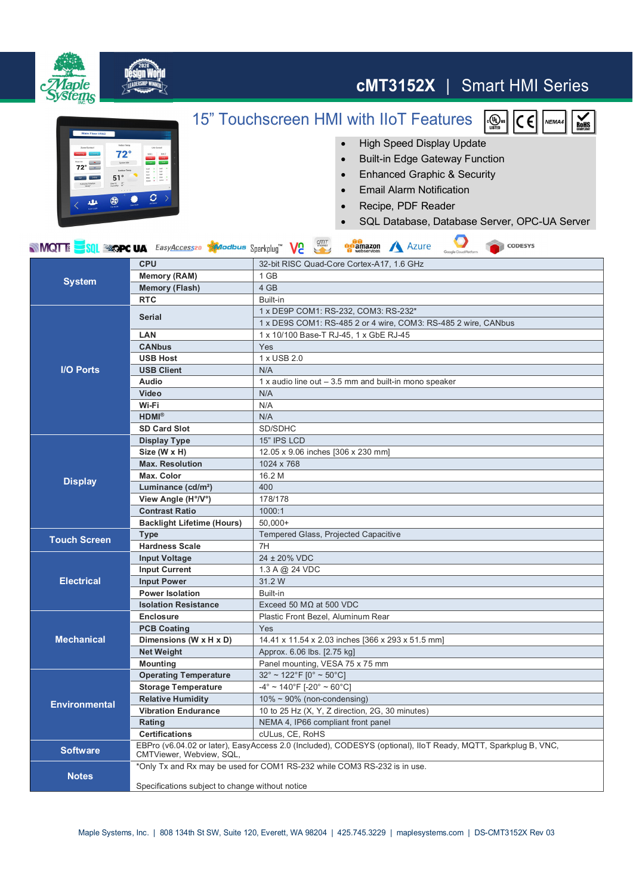

## **cMT3152X** | Smart HMI Series

 $\frac{1}{\epsilon\left(\frac{U_{\text{L}}}{U_{\text{S}}} \right)}$ us

lc El

NEMA4

 $\frac{1}{\text{RoHS}}$ 

## 15" Touchscreen HMI with IIoT Features

 $cm<sub>T</sub>$ 

**Gift** 



- High Speed Display Update
- Built-in Edge Gateway Function
- Enhanced Graphic & Security
- **•** Email Alarm Notification
- Recipe, PDF Reader

 $\mathcal{L}$ 

SQL Database, Database Server, OPC-UA Server

 $\bullet$ 

| <b>System</b>        | <b>CPU</b>                        | 32-bit RISC Quad-Core Cortex-A17, 1.6 GHz                                                                     |
|----------------------|-----------------------------------|---------------------------------------------------------------------------------------------------------------|
|                      | <b>Memory (RAM)</b>               | 1 GB                                                                                                          |
|                      | <b>Memory (Flash)</b>             | 4 GB                                                                                                          |
|                      | <b>RTC</b>                        | Built-in                                                                                                      |
| <b>I/O Ports</b>     | <b>Serial</b>                     | 1 x DE9P COM1: RS-232, COM3: RS-232*                                                                          |
|                      |                                   | 1 x DE9S COM1: RS-485 2 or 4 wire, COM3: RS-485 2 wire, CANbus                                                |
|                      | <b>LAN</b>                        | 1 x 10/100 Base-T RJ-45, 1 x GbE RJ-45                                                                        |
|                      | <b>CANbus</b>                     | Yes                                                                                                           |
|                      | <b>USB Host</b>                   | 1 x USB 2.0                                                                                                   |
|                      | <b>USB Client</b>                 | N/A                                                                                                           |
|                      | <b>Audio</b>                      | 1 x audio line out $-3.5$ mm and built-in mono speaker                                                        |
|                      | Video                             | N/A                                                                                                           |
|                      | Wi-Fi                             | N/A                                                                                                           |
|                      | $HDMI^{\otimes}$                  | N/A                                                                                                           |
|                      | <b>SD Card Slot</b>               | SD/SDHC                                                                                                       |
| <b>Display</b>       | Display Type                      | 15" IPS LCD                                                                                                   |
|                      | Size (W x H)                      | 12.05 x 9.06 inches [306 x 230 mm]                                                                            |
|                      | <b>Max. Resolution</b>            | 1024 x 768                                                                                                    |
|                      | Max. Color                        | 16.2 M                                                                                                        |
|                      | Luminance (cd/m <sup>2</sup> )    | 400                                                                                                           |
|                      | View Angle (H°/V°)                | 178/178                                                                                                       |
|                      | <b>Contrast Ratio</b>             | 1000:1                                                                                                        |
|                      | <b>Backlight Lifetime (Hours)</b> | $50,000+$                                                                                                     |
| <b>Touch Screen</b>  | <b>Type</b>                       | Tempered Glass, Projected Capacitive                                                                          |
|                      | <b>Hardness Scale</b>             | 7H                                                                                                            |
| <b>Electrical</b>    | <b>Input Voltage</b>              | 24 ± 20% VDC                                                                                                  |
|                      | <b>Input Current</b>              | 1.3 A @ 24 VDC                                                                                                |
|                      | <b>Input Power</b>                | 31.2 W                                                                                                        |
|                      | <b>Power Isolation</b>            | Built-in                                                                                                      |
|                      | <b>Isolation Resistance</b>       | Exceed 50 M $\Omega$ at 500 VDC                                                                               |
|                      |                                   |                                                                                                               |
|                      | <b>Enclosure</b>                  | Plastic Front Bezel, Aluminum Rear                                                                            |
|                      | <b>PCB Coating</b>                | Yes                                                                                                           |
| <b>Mechanical</b>    | Dimensions (W x H x D)            | 14.41 x 11.54 x 2.03 inches [366 x 293 x 51.5 mm]                                                             |
|                      | <b>Net Weight</b>                 | Approx. 6.06 lbs. [2.75 kg]                                                                                   |
|                      | <b>Mounting</b>                   | Panel mounting, VESA 75 x 75 mm                                                                               |
|                      | <b>Operating Temperature</b>      | $32^{\circ}$ ~ 122°F [0° ~ 50°C]                                                                              |
|                      | <b>Storage Temperature</b>        | $-4^{\circ}$ ~ 140°F [-20° ~ 60°C]                                                                            |
|                      | <b>Relative Humidity</b>          | $10\% \sim 90\%$ (non-condensing)                                                                             |
| <b>Environmental</b> | <b>Vibration Endurance</b>        | 10 to 25 Hz (X, Y, Z direction, 2G, 30 minutes)                                                               |
|                      | Rating                            | NEMA 4, IP66 compliant front panel                                                                            |
|                      | <b>Certifications</b>             | cULus, CE, RoHS                                                                                               |
| <b>Software</b>      | CMTViewer, Webview, SQL,          | EBPro (v6.04.02 or later), EasyAccess 2.0 (Included), CODESYS (optional), IloT Ready, MQTT, Sparkplug B, VNC, |
| <b>Notes</b>         |                                   | *Only Tx and Rx may be used for COM1 RS-232 while COM3 RS-232 is in use.                                      |